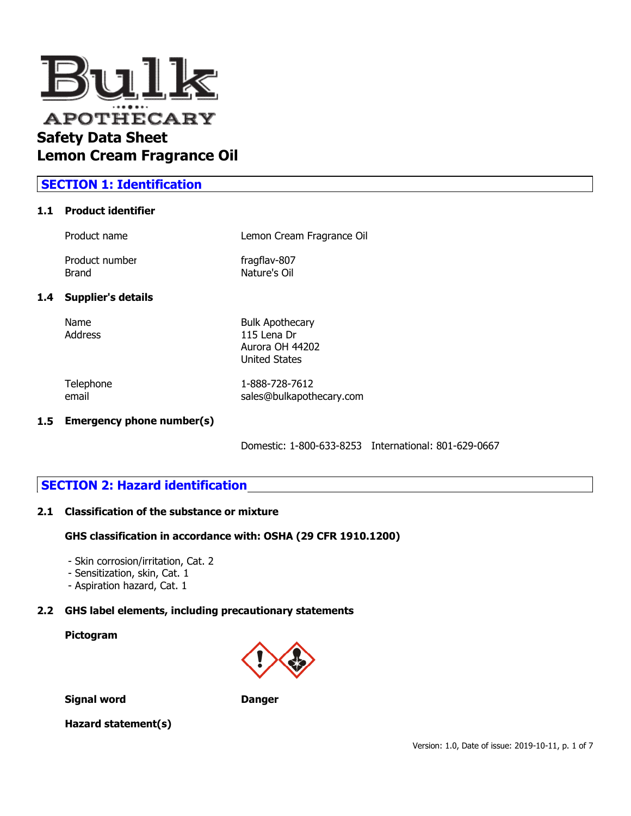

# **SECTION 1: Identification**

#### **1.1 Product identifier**

| Product name                   | Lemon Cream Fragrance Oil    |
|--------------------------------|------------------------------|
| Product number<br><b>Brand</b> | fragflav-807<br>Nature's Oil |
|                                |                              |

### **1.4 Supplier's details**

Name Bulk Apothecary Address 115 Lena Dr Aurora OH 44202 United States

Telephone 1-888-728-7612 email sales@bulkapothecary.com

### **1.5 Emergency phone number(s)**

Domestic: 1-800-633-8253 International: 801-629-0667

## **SECTION 2: Hazard identification**

#### **2.1 Classification of the substance or mixture**

#### **GHS classification in accordance with: OSHA (29 CFR 1910.1200)**

- Skin corrosion/irritation, Cat. 2
- Sensitization, skin, Cat. 1
- Aspiration hazard, Cat. 1

## **2.2 GHS label elements, including precautionary statements**

## **Pictogram**



**Signal word Danger**

### **Hazard statement(s)**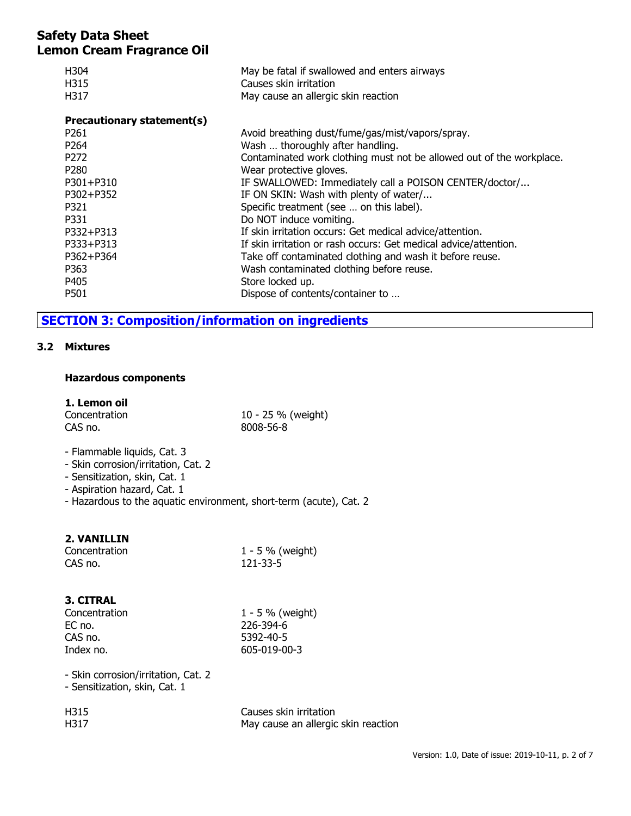| H304<br>H315<br>H317       | May be fatal if swallowed and enters airways<br>Causes skin irritation<br>May cause an allergic skin reaction |
|----------------------------|---------------------------------------------------------------------------------------------------------------|
| Precautionary statement(s) |                                                                                                               |
| P <sub>261</sub>           | Avoid breathing dust/fume/gas/mist/vapors/spray.                                                              |
| P <sub>264</sub>           | Wash  thoroughly after handling.                                                                              |
| P <sub>272</sub>           | Contaminated work clothing must not be allowed out of the workplace.                                          |
| P <sub>280</sub>           | Wear protective gloves.                                                                                       |
| P301+P310                  | IF SWALLOWED: Immediately call a POISON CENTER/doctor/                                                        |
| P302+P352                  | IF ON SKIN: Wash with plenty of water/                                                                        |
| P321                       | Specific treatment (see  on this label).                                                                      |
| P331                       | Do NOT induce vomiting.                                                                                       |
| P332+P313                  | If skin irritation occurs: Get medical advice/attention.                                                      |
| P333+P313                  | If skin irritation or rash occurs: Get medical advice/attention.                                              |
| P362+P364                  | Take off contaminated clothing and wash it before reuse.                                                      |
| P363                       | Wash contaminated clothing before reuse.                                                                      |
| P405                       | Store locked up.                                                                                              |
| P501                       | Dispose of contents/container to                                                                              |

# **SECTION 3: Composition/information on ingredients**

### **3.2 Mixtures**

#### **Hazardous components**

## **1. Lemon oil**

| Concentration |  |
|---------------|--|
| CAS no.       |  |

10 - 25 % (weight) 8008-56-8

- Flammable liquids, Cat. 3
- Skin corrosion/irritation, Cat. 2
- Sensitization, skin, Cat. 1
- Aspiration hazard, Cat. 1
- Hazardous to the aquatic environment, short-term (acute), Cat. 2

### **2. VANILLIN**

| Concentration | 1 - 5 % (weight) |
|---------------|------------------|
| CAS no.       | 121-33-5         |

### **3. CITRAL**

| Concentration | $1 - 5 \%$ (weight) |
|---------------|---------------------|
| EC no.        | 226-394-6           |
| CAS no.       | 5392-40-5           |
| Index no.     | 605-019-00-3        |
|               |                     |

- Skin corrosion/irritation, Cat. 2

- Sensitization, skin, Cat. 1

| H315 | Causes skin irritation              |
|------|-------------------------------------|
| H317 | May cause an allergic skin reaction |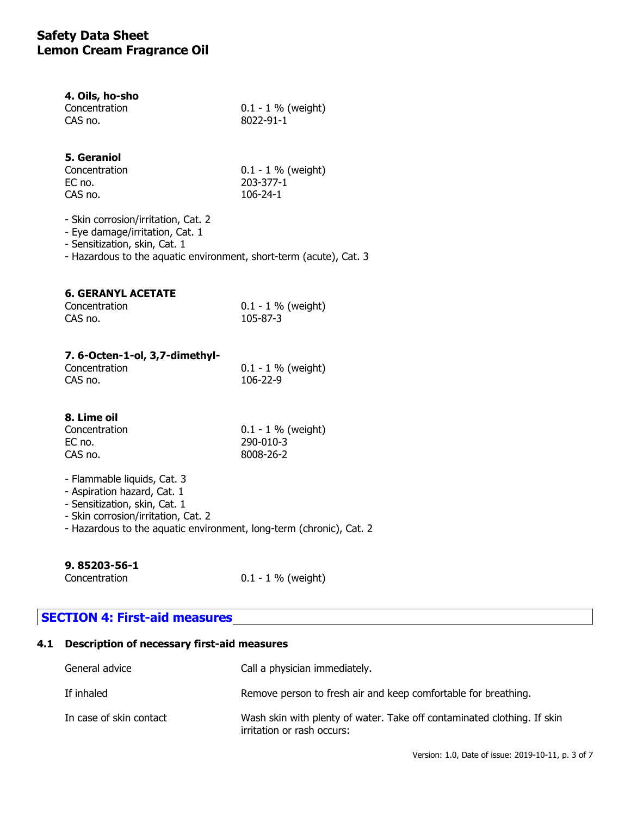| 4. Oils, ho-sho |                      |
|-----------------|----------------------|
| Concentration   | $0.1 - 1$ % (weight) |
| CAS no.         | 8022-91-1            |

## **5. Geraniol**

| Concentration | $0.1 - 1$ % (weight) |
|---------------|----------------------|
| EC no.        | 203-377-1            |
| CAS no.       | 106-24-1             |

- Skin corrosion/irritation, Cat. 2

- Eye damage/irritation, Cat. 1

- Sensitization, skin, Cat. 1

- Hazardous to the aquatic environment, short-term (acute), Cat. 3

### **6. GERANYL ACETATE**

| Concentration | $0.1 - 1 \%$ (weight) |
|---------------|-----------------------|
| CAS no.       | 105-87-3              |

### **7. 6-Octen-1-ol, 3,7-dimethyl-**

| Concentration | $0.1 - 1$ % (weight) |
|---------------|----------------------|
| CAS no.       | 106-22-9             |

### **8. Lime oil**

| Concentration | $0.1 - 1 \%$ (weight) |
|---------------|-----------------------|
| EC no.        | 290-010-3             |
| CAS no.       | 8008-26-2             |

- Flammable liquids, Cat. 3
- Aspiration hazard, Cat. 1
- Sensitization, skin, Cat. 1
- Skin corrosion/irritation, Cat. 2
- Hazardous to the aquatic environment, long-term (chronic), Cat. 2

### **9. 85203-56-1**

Concentration 0.1 - 1 % (weight)

## **SECTION 4: First-aid measures**

## **4.1 Description of necessary first-aid measures**

| General advice          | Call a physician immediately.                                                                         |
|-------------------------|-------------------------------------------------------------------------------------------------------|
| If inhaled              | Remove person to fresh air and keep comfortable for breathing.                                        |
| In case of skin contact | Wash skin with plenty of water. Take off contaminated clothing. If skin<br>irritation or rash occurs: |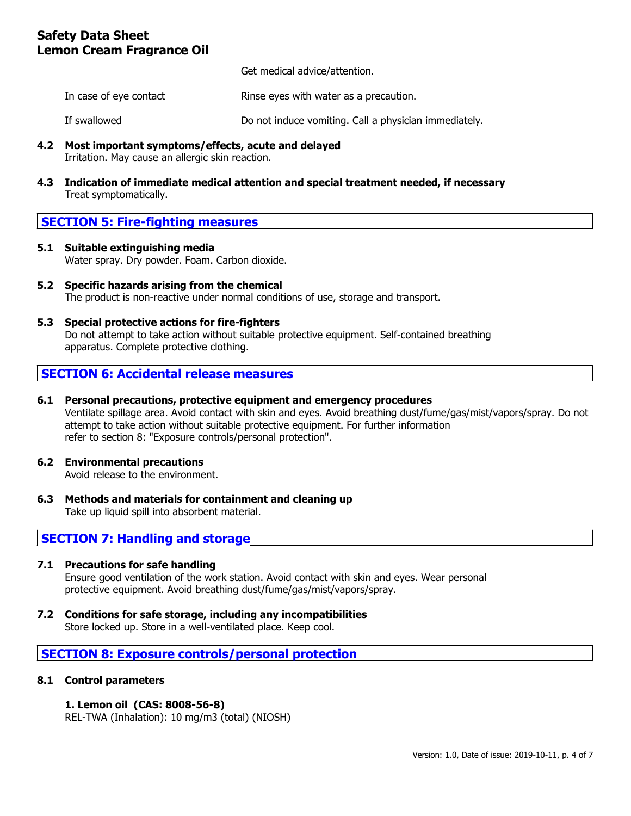Get medical advice/attention.

In case of eye contact **Rinse eyes with water as a precaution.** 

If swallowed Do not induce vomiting. Call a physician immediately.

- **4.2 Most important symptoms/effects, acute and delayed** Irritation. May cause an allergic skin reaction.
- **4.3 Indication of immediate medical attention and special treatment needed, if necessary** Treat symptomatically.

## **SECTION 5: Fire-fighting measures**

- **5.1 Suitable extinguishing media** Water spray. Dry powder. Foam. Carbon dioxide.
- **5.2 Specific hazards arising from the chemical** The product is non-reactive under normal conditions of use, storage and transport.
- **5.3 Special protective actions for fire-fighters** Do not attempt to take action without suitable protective equipment. Self-contained breathing apparatus. Complete protective clothing.

## **SECTION 6: Accidental release measures**

- **6.1 Personal precautions, protective equipment and emergency procedures** Ventilate spillage area. Avoid contact with skin and eyes. Avoid breathing dust/fume/gas/mist/vapors/spray. Do not attempt to take action without suitable protective equipment. For further information refer to section 8: "Exposure controls/personal protection".
- **6.2 Environmental precautions** Avoid release to the environment.
- **6.3 Methods and materials for containment and cleaning up** Take up liquid spill into absorbent material.

## **SECTION 7: Handling and storage**

### **7.1 Precautions for safe handling**

Ensure good ventilation of the work station. Avoid contact with skin and eyes. Wear personal protective equipment. Avoid breathing dust/fume/gas/mist/vapors/spray.

**7.2 Conditions for safe storage, including any incompatibilities**

Store locked up. Store in a well-ventilated place. Keep cool.

## **SECTION 8: Exposure controls/personal protection**

### **8.1 Control parameters**

### **1. Lemon oil (CAS: 8008-56-8)**

REL-TWA (Inhalation): 10 mg/m3 (total) (NIOSH)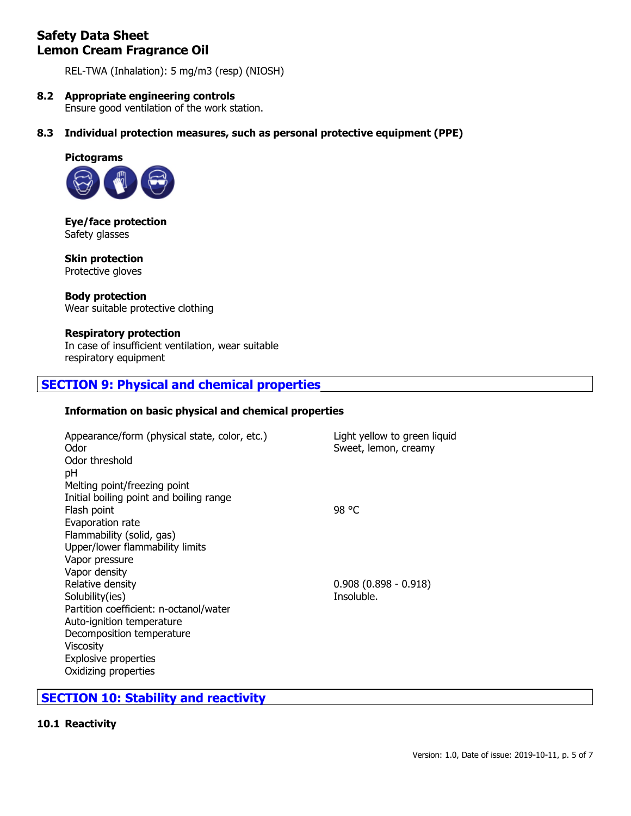REL-TWA (Inhalation): 5 mg/m3 (resp) (NIOSH)

## **8.2 Appropriate engineering controls**

Ensure good ventilation of the work station.

**8.3 Individual protection measures, such as personal protective equipment (PPE)**



**Eye/face protection** Safety glasses

**Skin protection** Protective gloves

**Body protection** Wear suitable protective clothing

### **Respiratory protection**

In case of insufficient ventilation, wear suitable respiratory equipment

# **SECTION 9: Physical and chemical properties**

### **Information on basic physical and chemical properties**

| Appearance/form (physical state, color, etc.)<br>Odor<br>Odor threshold | Light yellow to green liquid<br>Sweet, lemon, creamy |
|-------------------------------------------------------------------------|------------------------------------------------------|
| рH<br>Melting point/freezing point                                      |                                                      |
| Initial boiling point and boiling range                                 |                                                      |
| Flash point<br>Evaporation rate                                         | 98 °C                                                |
| Flammability (solid, gas)                                               |                                                      |
| Upper/lower flammability limits                                         |                                                      |
| Vapor pressure                                                          |                                                      |
| Vapor density                                                           |                                                      |
| Relative density                                                        | $0.908(0.898 - 0.918)$                               |
| Solubility(ies)                                                         | Insoluble.                                           |
| Partition coefficient: n-octanol/water                                  |                                                      |
| Auto-ignition temperature                                               |                                                      |
| Decomposition temperature                                               |                                                      |
| Viscosity                                                               |                                                      |
| <b>Explosive properties</b>                                             |                                                      |
| Oxidizing properties                                                    |                                                      |

# **SECTION 10: Stability and reactivity**

#### **10.1 Reactivity**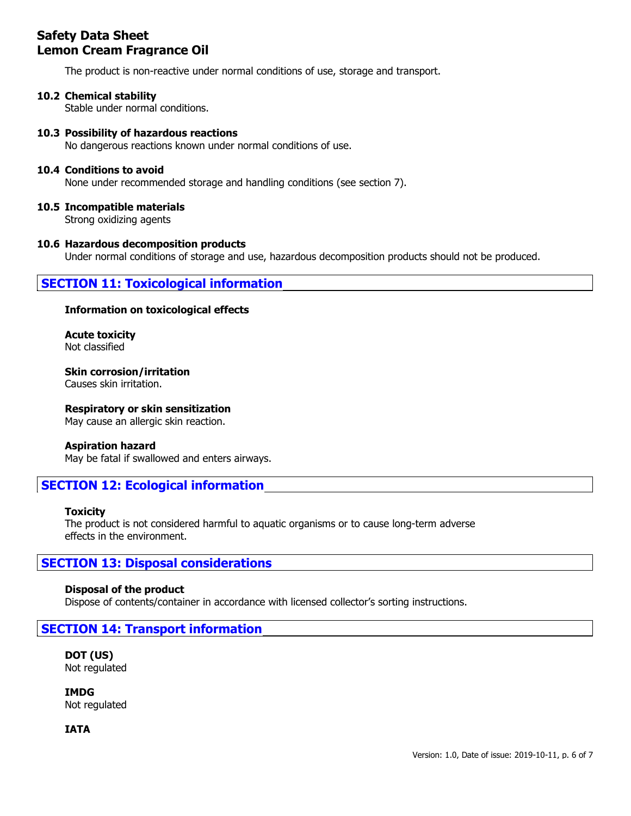The product is non-reactive under normal conditions of use, storage and transport.

### **10.2 Chemical stability**

Stable under normal conditions.

### **10.3 Possibility of hazardous reactions**

No dangerous reactions known under normal conditions of use.

#### **10.4 Conditions to avoid**

None under recommended storage and handling conditions (see section 7).

#### **10.5 Incompatible materials**

Strong oxidizing agents

#### **10.6 Hazardous decomposition products**

Under normal conditions of storage and use, hazardous decomposition products should not be produced.

## **SECTION 11: Toxicological information**

#### **Information on toxicological effects**

**Acute toxicity** Not classified

**Skin corrosion/irritation** Causes skin irritation.

#### **Respiratory or skin sensitization**

May cause an allergic skin reaction.

#### **Aspiration hazard**

May be fatal if swallowed and enters airways.

## **SECTION 12: Ecological information**

#### **Toxicity**

The product is not considered harmful to aquatic organisms or to cause long-term adverse effects in the environment.

## **SECTION 13: Disposal considerations**

#### **Disposal of the product**

Dispose of contents/container in accordance with licensed collector's sorting instructions.

### **SECTION 14: Transport information**

**DOT (US)** Not regulated

**IMDG** Not regulated

**IATA**